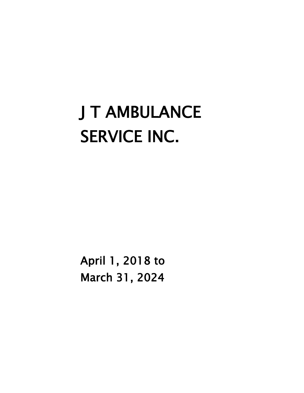# J T AMBULANCE SERVICE INC.

April 1, 2018 to March 31, 2024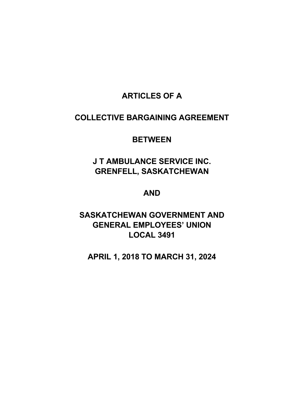# **ARTICLES OF A**

# **COLLECTIVE BARGAINING AGREEMENT**

# **BETWEEN**

# **J T AMBULANCE SERVICE INC. GRENFELL, SASKATCHEWAN**

# **AND**

# **SASKATCHEWAN GOVERNMENT AND GENERAL EMPLOYEES' UNION LOCAL 3491**

# **APRIL 1, 2018 TO MARCH 31, 2024**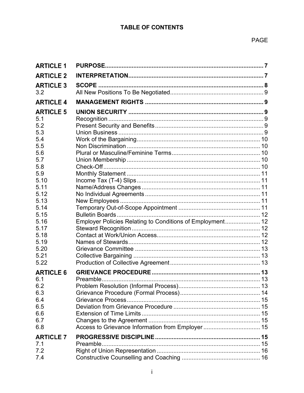| <b>ARTICLE 1</b> |                                                           |  |
|------------------|-----------------------------------------------------------|--|
| <b>ARTICLE 2</b> |                                                           |  |
| <b>ARTICLE 3</b> |                                                           |  |
| 3.2              |                                                           |  |
| <b>ARTICLE 4</b> |                                                           |  |
| <b>ARTICLE 5</b> |                                                           |  |
| 5.1              |                                                           |  |
| 5.2              |                                                           |  |
| 5.3              |                                                           |  |
| 5.4              |                                                           |  |
| 5.5              |                                                           |  |
| 5.6              |                                                           |  |
| 5.7              |                                                           |  |
| 5.8              |                                                           |  |
| 5.9              |                                                           |  |
| 5.10             |                                                           |  |
| 5.11             |                                                           |  |
| 5.12             |                                                           |  |
| 5.13             |                                                           |  |
| 5.14             |                                                           |  |
| 5.15             |                                                           |  |
| 5.16             | Employer Policies Relating to Conditions of Employment 12 |  |
| 5.17             |                                                           |  |
| 5.18             |                                                           |  |
| 5.19             |                                                           |  |
| 5.20             |                                                           |  |
| 5.21             |                                                           |  |
| 5.22             |                                                           |  |
| <b>ARTICLE 6</b> |                                                           |  |
| 6.1              |                                                           |  |
| 6.2              |                                                           |  |
| 6.3              |                                                           |  |
| 6.4              |                                                           |  |
| 6.5              |                                                           |  |
| 6.6              |                                                           |  |
| 6.7              |                                                           |  |
| 6.8              | Access to Grievance Information from Employer  15         |  |
|                  |                                                           |  |
| <b>ARTICLE 7</b> |                                                           |  |
| 7.1              |                                                           |  |
| 7.2              |                                                           |  |
| 7.4              |                                                           |  |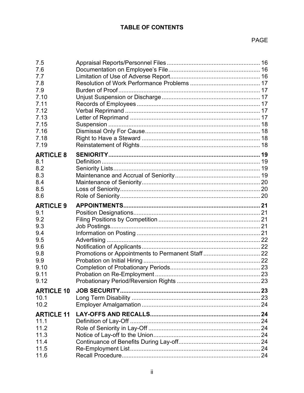| 7.5<br>7.6<br>7.7<br>7.8<br>7.9<br>7.10<br>7.11<br>7.12<br>7.13<br>7.15<br>7.16<br>7.18 |  |
|-----------------------------------------------------------------------------------------|--|
| 7.19                                                                                    |  |
| <b>ARTICLE 8</b><br>8.1<br>8.2<br>8.3<br>8.4<br>8.5<br>8.6                              |  |
| <b>ARTICLE 9</b>                                                                        |  |
| 9.1<br>9.2                                                                              |  |
| 9.3                                                                                     |  |
| 9.4                                                                                     |  |
| 9.5                                                                                     |  |
| 9.6                                                                                     |  |
| 9.8                                                                                     |  |
| 9.9                                                                                     |  |
| 9.10                                                                                    |  |
| 9.11<br>9.12                                                                            |  |
|                                                                                         |  |
| <b>ARTICLE 10</b><br>10.1                                                               |  |
| 10.2                                                                                    |  |
| <b>ARTICLE 11</b>                                                                       |  |
| 11.1                                                                                    |  |
| 11.2                                                                                    |  |
| 11.3                                                                                    |  |
| 11.4                                                                                    |  |
| 11.5                                                                                    |  |
| 11.6                                                                                    |  |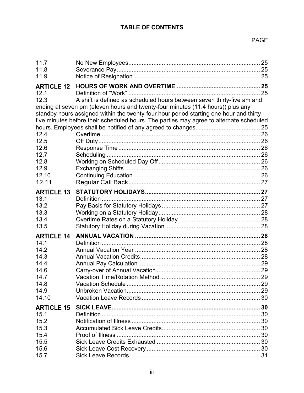| 11.7              |                                                                                         |  |
|-------------------|-----------------------------------------------------------------------------------------|--|
| 11.8              |                                                                                         |  |
| 11.9              |                                                                                         |  |
| <b>ARTICLE 12</b> |                                                                                         |  |
| 12.1              |                                                                                         |  |
| 12.3              | A shift is defined as scheduled hours between seven thirty-five am and                  |  |
|                   | ending at seven pm (eleven hours and twenty-four minutes (11.4 hours)) plus any         |  |
|                   | standby hours assigned within the twenty-four hour period starting one hour and thirty- |  |
|                   | five minutes before their scheduled hours. The parties may agree to alternate scheduled |  |
|                   |                                                                                         |  |
| 12.4              |                                                                                         |  |
| 12.5              |                                                                                         |  |
| 12.6              |                                                                                         |  |
| 12.7              |                                                                                         |  |
| 12.8              |                                                                                         |  |
| 12.9              |                                                                                         |  |
| 12.10             |                                                                                         |  |
| 12.11             |                                                                                         |  |
| <b>ARTICLE 13</b> |                                                                                         |  |
| 13.1              |                                                                                         |  |
| 13.2              |                                                                                         |  |
| 13.3              |                                                                                         |  |
| 13.4              |                                                                                         |  |
| 13.5              |                                                                                         |  |
| <b>ARTICLE 14</b> |                                                                                         |  |
| 14.1              |                                                                                         |  |
| 14.2              |                                                                                         |  |
| 14.3              |                                                                                         |  |
| 14.4              |                                                                                         |  |
| 14.6              |                                                                                         |  |
| 14.7              |                                                                                         |  |
| 14.8              |                                                                                         |  |
| 14.9              |                                                                                         |  |
| 14.10             |                                                                                         |  |
| <b>ARTICLE 15</b> |                                                                                         |  |
| 15.1              |                                                                                         |  |
| 15.2              |                                                                                         |  |
| 15.3              |                                                                                         |  |
| 15.4              |                                                                                         |  |
| 15.5              |                                                                                         |  |
| 15.6              |                                                                                         |  |
| 15.7              |                                                                                         |  |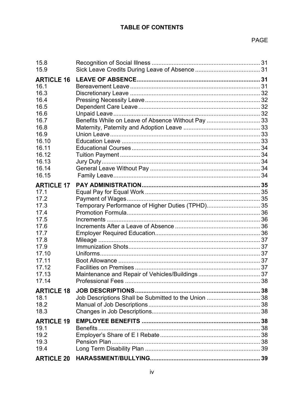| 15.8<br>15.9                                                                                                                            |                                                      |  |
|-----------------------------------------------------------------------------------------------------------------------------------------|------------------------------------------------------|--|
| <b>ARTICLE 16</b><br>16.1<br>16.3<br>16.4<br>16.5<br>16.6<br>16.7<br>16.8<br>16.9<br>16.10<br>16.11<br>16.12<br>16.13<br>16.14<br>16.15 | Benefits While on Leave of Absence Without Pay  33   |  |
| <b>ARTICLE 17</b><br>17.1<br>17.2<br>17.3<br>17.4<br>17.5<br>17.6<br>17.7<br>17.8<br>17.9<br>17.10<br>17.11<br>17.12<br>17.13<br>17.14  | Temporary Performance of Higher Duties (TPHD) 35     |  |
| <b>ARTICLE 18</b><br>18.1<br>18.2<br>18.3                                                                                               | Job Descriptions Shall be Submitted to the Union  38 |  |
| <b>ARTICLE 19</b><br>19.1<br>19.2<br>19.3<br>19.4                                                                                       |                                                      |  |
|                                                                                                                                         |                                                      |  |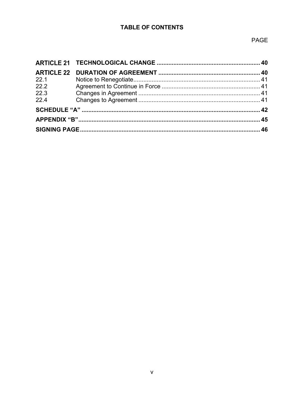| 22.1 |  |  |
|------|--|--|
| 22.2 |  |  |
| 22.3 |  |  |
| 22.4 |  |  |
|      |  |  |
|      |  |  |
|      |  |  |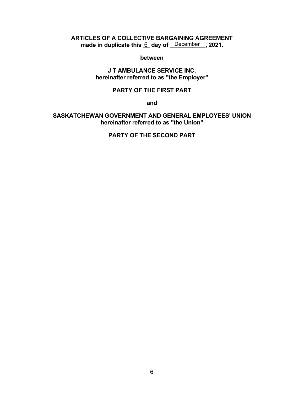#### **ARTICLES OF A COLLECTIVE BARGAINING AGREEMENT** made in duplicate this <u>6</u> day of <u>December</u>, 2021.

#### **between**

#### **J T AMBULANCE SERVICE INC. hereinafter referred to as "the Employer"**

#### **PARTY OF THE FIRST PART**

**and**

#### **SASKATCHEWAN GOVERNMENT AND GENERAL EMPLOYEES' UNION hereinafter referred to as "the Union"**

**PARTY OF THE SECOND PART**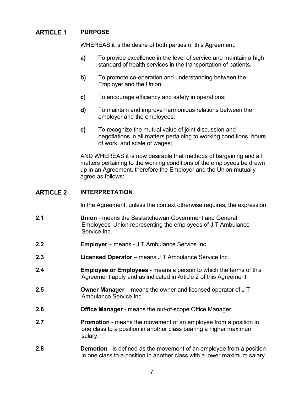#### <span id="page-9-0"></span>**ARTICLE 1 PURPOSE**

WHEREAS it is the desire of both parties of this Agreement:

- **a)** To provide excellence in the level of service and maintain a high standard of health services in the transportation of patients.
- **b)** To promote co-operation and understanding between the Employer and the Union;
- **c)** To encourage efficiency and safety in operations;
- **d)** To maintain and improve harmonious relations between the employer and the employees;
- **e)** To recognize the mutual value of joint discussion and negotiations in all matters pertaining to working conditions, hours of work, and scale of wages;

AND WHEREAS it is now desirable that methods of bargaining and all matters pertaining to the working conditions of the employees be drawn up in an Agreement, therefore the Employer and the Union mutually agree as follows:

#### <span id="page-9-1"></span>**ARTICLE 2 INTERPRETATION**

In the Agreement, unless the context otherwise requires, the expression:

- **2.1 Union** means the Saskatchewan Government and General Employees' Union representing the employees of J T Ambulance Service Inc.
- **2.2 Employer**  means J T Ambulance Service Inc.
- **2.3 Licensed Operator** means J T Ambulance Service Inc.
- **2.4 Employee or Employees** means a person to which the terms of this Agreement apply and as indicated in Article 2 of this Agreement.
- **2.5 Owner Manager**  means the owner and licensed operator of J T Ambulance Service Inc.
- **2.6 Office Manager** means the out-of-scope Office Manager.
- **2.7 Promotion** means the movement of an employee from a position in one class to a position in another class bearing a higher maximum salary.
- **2.8 Demotion** is defined as the movement of an employee from a position in one class to a position in another class with a lower maximum salary.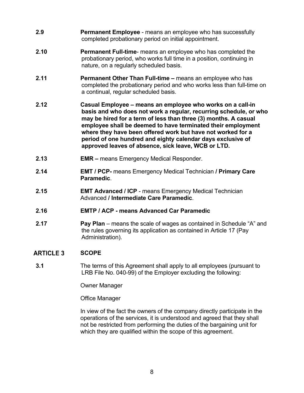- **2.9 Permanent Employee** means an employee who has successfully completed probationary period on initial appointment.
- **2.10 Permanent Full-time** means an employee who has completed the probationary period, who works full time in a position, continuing in nature, on a regularly scheduled basis.
- **2.11 Permanent Other Than Full-time –** means an employee who has completed the probationary period and who works less than full-time on a continual, regular scheduled basis.
- **2.12 Casual Employee – means an employee who works on a call-in basis and who does not work a regular, recurring schedule, or who may be hired for a term of less than three (3) months. A casual employee shall be deemed to have terminated their employment where they have been offered work but have not worked for a period of one hundred and eighty calendar days exclusive of approved leaves of absence, sick leave, WCB or LTD.**
- **2.13 EMR –** means Emergency Medical Responder.
- **2.14 EMT / PCP-** means Emergency Medical Technician **/ Primary Care Paramedic**.
- **2.15 EMT Advanced / ICP** means Emergency Medical Technician Advanced **/ Intermediate Care Paramedic**.
- **2.16 EMTP / ACP - means Advanced Car Paramedic**
- **2.17 Pay Plan** means the scale of wages as contained in Schedule "A" and the rules governing its application as contained in Article 17 (Pay Administration).

#### <span id="page-10-0"></span>**ARTICLE 3 SCOPE**

**3.1** The terms of this Agreement shall apply to all employees (pursuant to LRB File No. 040-99) of the Employer excluding the following:

Owner Manager

Office Manager

In view of the fact the owners of the company directly participate in the operations of the services, it is understood and agreed that they shall not be restricted from performing the duties of the bargaining unit for which they are qualified within the scope of this agreement.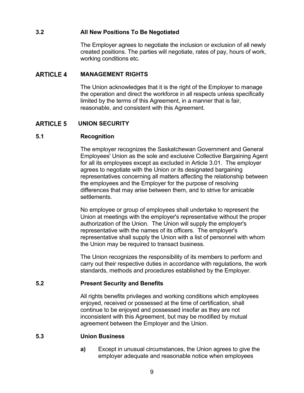#### <span id="page-11-0"></span>**3.2 All New Positions To Be Negotiated**

The Employer agrees to negotiate the inclusion or exclusion of all newly created positions. The parties will negotiate, rates of pay, hours of work, working conditions etc.

#### <span id="page-11-1"></span>**ARTICLE 4 MANAGEMENT RIGHTS**

The Union acknowledges that it is the right of the Employer to manage the operation and direct the workforce in all respects unless specifically limited by the terms of this Agreement, in a manner that is fair, reasonable, and consistent with this Agreement.

#### <span id="page-11-2"></span>**UNION SECURITY ARTICLE 5**

#### <span id="page-11-3"></span>**5.1 Recognition**

The employer recognizes the Saskatchewan Government and General Employees' Union as the sole and exclusive Collective Bargaining Agent for all its employees except as excluded in Article 3.01. The employer agrees to negotiate with the Union or its designated bargaining representatives concerning all matters affecting the relationship between the employees and the Employer for the purpose of resolving differences that may arise between them, and to strive for amicable settlements.

No employee or group of employees shall undertake to represent the Union at meetings with the employer's representative without the proper authorization of the Union. The Union will supply the employer's representative with the names of its officers. The employer's representative shall supply the Union with a list of personnel with whom the Union may be required to transact business.

The Union recognizes the responsibility of its members to perform and carry out their respective duties in accordance with regulations, the work standards, methods and procedures established by the Employer.

#### <span id="page-11-4"></span>**5.2 Present Security and Benefits**

All rights benefits privileges and working conditions which employees enjoyed, received or possessed at the time of certification, shall continue to be enjoyed and possessed insofar as they are not inconsistent with this Agreement, but may be modified by mutual agreement between the Employer and the Union.

#### <span id="page-11-5"></span>**5.3 Union Business**

**a)** Except in unusual circumstances, the Union agrees to give the employer adequate and reasonable notice when employees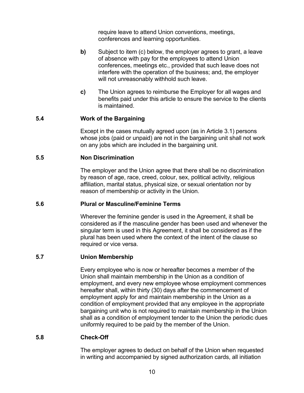require leave to attend Union conventions, meetings, conferences and learning opportunities.

- **b)** Subject to item (c) below, the employer agrees to grant, a leave of absence with pay for the employees to attend Union conferences, meetings etc., provided that such leave does not interfere with the operation of the business; and, the employer will not unreasonably withhold such leave.
- **c)** The Union agrees to reimburse the Employer for all wages and benefits paid under this article to ensure the service to the clients is maintained.

#### <span id="page-12-0"></span>**5.4 Work of the Bargaining**

Except in the cases mutually agreed upon (as in Article 3.1) persons whose jobs (paid or unpaid) are not in the bargaining unit shall not work on any jobs which are included in the bargaining unit.

#### <span id="page-12-1"></span>**5.5 Non Discrimination**

The employer and the Union agree that there shall be no discrimination by reason of age, race, creed, colour, sex, political activity, religious affiliation, marital status, physical size, or sexual orientation nor by reason of membership or activity in the Union.

#### <span id="page-12-2"></span>**5.6 Plural or Masculine/Feminine Terms**

Wherever the feminine gender is used in the Agreement, it shall be considered as if the masculine gender has been used and whenever the singular term is used in this Agreement, it shall be considered as if the plural has been used where the context of the intent of the clause so required or vice versa.

#### <span id="page-12-3"></span>**5.7 Union Membership**

Every employee who is now or hereafter becomes a member of the Union shall maintain membership in the Union as a condition of employment, and every new employee whose employment commences hereafter shall, within thirty (30) days after the commencement of employment apply for and maintain membership in the Union as a condition of employment provided that any employee in the appropriate bargaining unit who is not required to maintain membership in the Union shall as a condition of employment tender to the Union the periodic dues uniformly required to be paid by the member of the Union.

#### <span id="page-12-4"></span>**5.8 Check-Off**

The employer agrees to deduct on behalf of the Union when requested in writing and accompanied by signed authorization cards, all initiation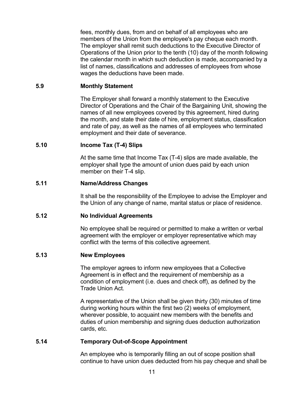fees, monthly dues, from and on behalf of all employees who are members of the Union from the employee's pay cheque each month. The employer shall remit such deductions to the Executive Director of Operations of the Union prior to the tenth (10) day of the month following the calendar month in which such deduction is made, accompanied by a list of names, classifications and addresses of employees from whose wages the deductions have been made.

#### <span id="page-13-0"></span>**5.9 Monthly Statement**

The Employer shall forward a monthly statement to the Executive Director of Operations and the Chair of the Bargaining Unit, showing the names of all new employees covered by this agreement, hired during the month, and state their date of hire, employment status, classification and rate of pay, as well as the names of all employees who terminated employment and their date of severance.

#### <span id="page-13-1"></span>**5.10 Income Tax (T-4) Slips**

At the same time that Income Tax (T-4) slips are made available, the employer shall type the amount of union dues paid by each union member on their T-4 slip.

#### <span id="page-13-2"></span>**5.11 Name/Address Changes**

It shall be the responsibility of the Employee to advise the Employer and the Union of any change of name, marital status or place of residence.

#### <span id="page-13-3"></span>**5.12 No Individual Agreements**

No employee shall be required or permitted to make a written or verbal agreement with the employer or employer representative which may conflict with the terms of this collective agreement.

#### <span id="page-13-4"></span>**5.13 New Employees**

The employer agrees to inform new employees that a Collective Agreement is in effect and the requirement of membership as a condition of employment (i.e. dues and check off), as defined by the Trade Union Act.

A representative of the Union shall be given thirty (30) minutes of time during working hours within the first two (2) weeks of employment, wherever possible, to acquaint new members with the benefits and duties of union membership and signing dues deduction authorization cards, etc.

#### <span id="page-13-5"></span>**5.14 Temporary Out-of-Scope Appointment**

An employee who is temporarily filling an out of scope position shall continue to have union dues deducted from his pay cheque and shall be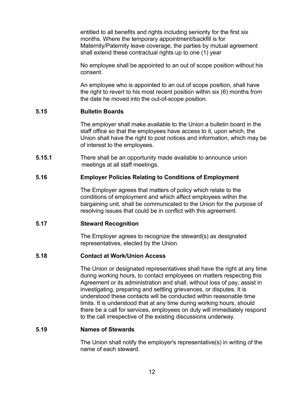entitled to all benefits and rights including seniority for the first six months. Where the temporary appointment/backfill is for Maternity/Paternity leave coverage, the parties by mutual agreement shall extend these contractual rights up to one (1) year

No employee shall be appointed to an out of scope position without his consent.

An employee who is appointed to an out of scope position, shall have the right to revert to his most recent position within six (6) months from the date he moved into the out-of-scope position.

#### <span id="page-14-0"></span>**5.15 Bulletin Boards**

The employer shall make available to the Union a bulletin board in the staff office so that the employees have access to it, upon which, the Union shall have the right to post notices and information, which may be of interest to the employees.

**5.15.1** There shall be an opportunity made available to announce union meetings at all staff meetings.

#### <span id="page-14-1"></span>**5.16 Employer Policies Relating to Conditions of Employment**

The Employer agrees that matters of policy which relate to the conditions of employment and which affect employees within the bargaining unit, shall be communicated to the Union for the purpose of resolving issues that could be in conflict with this agreement.

#### <span id="page-14-2"></span>**5.17 Steward Recognition**

The Employer agrees to recognize the steward(s) as designated representatives, elected by the Union.

#### <span id="page-14-3"></span>**5.18 Contact at Work/Union Access**

The Union or designated representatives shall have the right at any time during working hours, to contact employees on matters respecting this Agreement or its administration and shall, without loss of pay, assist in investigating, preparing and settling grievances, or disputes. It is understood these contacts will be conducted within reasonable time limits. It is understood that at any time during working hours, should there be a call for services, employees on duty will immediately respond to the call irrespective of the existing discussions underway.

#### <span id="page-14-4"></span>**5.19 Names of Stewards**

The Union shall notify the employer's representative(s) in writing of the name of each steward.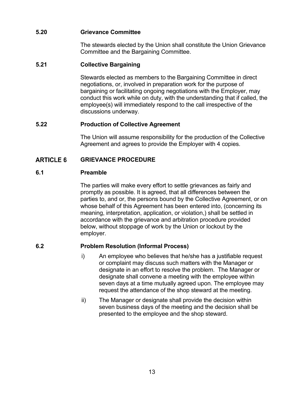### <span id="page-15-0"></span>**5.20 Grievance Committee**

The stewards elected by the Union shall constitute the Union Grievance Committee and the Bargaining Committee.

#### <span id="page-15-1"></span>**5.21 Collective Bargaining**

Stewards elected as members to the Bargaining Committee in direct negotiations, or, involved in preparation work for the purpose of bargaining or facilitating ongoing negotiations with the Employer, may conduct this work while on duty, with the understanding that if called, the employee(s) will immediately respond to the call irrespective of the discussions underway.

#### <span id="page-15-2"></span>**5.22 Production of Collective Agreement**

The Union will assume responsibility for the production of the Collective Agreement and agrees to provide the Employer with 4 copies.

#### <span id="page-15-3"></span>**ARTICLE 6 GRIEVANCE PROCEDURE**

#### <span id="page-15-4"></span>**6.1 Preamble**

The parties will make every effort to settle grievances as fairly and promptly as possible. It is agreed, that all differences between the parties to, and or, the persons bound by the Collective Agreement, or on whose behalf of this Agreement has been entered into, (concerning its meaning, interpretation, application, or violation,) shall be settled in accordance with the grievance and arbitration procedure provided below, without stoppage of work by the Union or lockout by the employer.

#### <span id="page-15-5"></span>**6.2 Problem Resolution (Informal Process)**

- i) An employee who believes that he/she has a justifiable request or complaint may discuss such matters with the Manager or designate in an effort to resolve the problem. The Manager or designate shall convene a meeting with the employee within seven days at a time mutually agreed upon. The employee may request the attendance of the shop steward at the meeting.
- ii) The Manager or designate shall provide the decision within seven business days of the meeting and the decision shall be presented to the employee and the shop steward.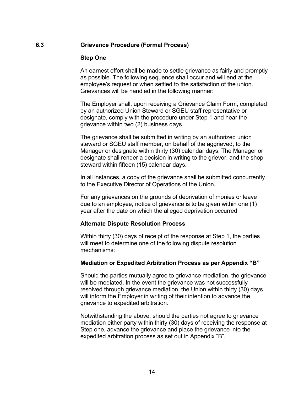#### <span id="page-16-0"></span>**6.3 Grievance Procedure (Formal Process)**

#### **Step One**

An earnest effort shall be made to settle grievance as fairly and promptly as possible. The following sequence shall occur and will end at the employee's request or when settled to the satisfaction of the union. Grievances will be handled in the following manner:

The Employer shall, upon receiving a Grievance Claim Form, completed by an authorized Union Steward or SGEU staff representative or designate, comply with the procedure under Step 1 and hear the grievance within two (2) business days

The grievance shall be submitted in writing by an authorized union steward or SGEU staff member, on behalf of the aggrieved, to the Manager or designate within thirty (30) calendar days. The Manager or designate shall render a decision in writing to the grievor, and the shop steward within fifteen (15) calendar days.

In all instances, a copy of the grievance shall be submitted concurrently to the Executive Director of Operations of the Union.

For any grievances on the grounds of deprivation of monies or leave due to an employee, notice of grievance is to be given within one (1) year after the date on which the alleged deprivation occurred

#### **Alternate Dispute Resolution Process**

Within thirty (30) days of receipt of the response at Step 1, the parties will meet to determine one of the following dispute resolution mechanisms:

#### **Mediation or Expedited Arbitration Process as per Appendix "B"**

Should the parties mutually agree to grievance mediation, the grievance will be mediated. In the event the grievance was not successfully resolved through grievance mediation, the Union within thirty (30) days will inform the Employer in writing of their intention to advance the grievance to expedited arbitration.

Notwithstanding the above, should the parties not agree to grievance mediation either party within thirty (30) days of receiving the response at Step one, advance the grievance and place the grievance into the expedited arbitration process as set out in Appendix "B".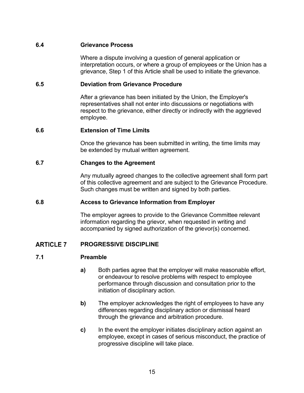#### <span id="page-17-0"></span>**6.4 Grievance Process**

Where a dispute involving a question of general application or interpretation occurs, or where a group of employees or the Union has a grievance, Step 1 of this Article shall be used to initiate the grievance.

#### <span id="page-17-1"></span>**6.5 Deviation from Grievance Procedure**

After a grievance has been initiated by the Union, the Employer's representatives shall not enter into discussions or negotiations with respect to the grievance, either directly or indirectly with the aggrieved employee.

#### <span id="page-17-2"></span>**6.6 Extension of Time Limits**

Once the grievance has been submitted in writing, the time limits may be extended by mutual written agreement.

#### <span id="page-17-3"></span>**6.7 Changes to the Agreement**

Any mutually agreed changes to the collective agreement shall form part of this collective agreement and are subject to the Grievance Procedure. Such changes must be written and signed by both parties.

#### <span id="page-17-4"></span>**6.8 Access to Grievance Information from Employer**

The employer agrees to provide to the Grievance Committee relevant information regarding the grievor, when requested in writing and accompanied by signed authorization of the grievor(s) concerned.

#### <span id="page-17-5"></span>**ARTICLE 7 PROGRESSIVE DISCIPLINE**

#### <span id="page-17-6"></span>**7.1 Preamble**

- **a)** Both parties agree that the employer will make reasonable effort, or endeavour to resolve problems with respect to employee performance through discussion and consultation prior to the initiation of disciplinary action.
- **b)** The employer acknowledges the right of employees to have any differences regarding disciplinary action or dismissal heard through the grievance and arbitration procedure.
- **c)** In the event the employer initiates disciplinary action against an employee, except in cases of serious misconduct, the practice of progressive discipline will take place.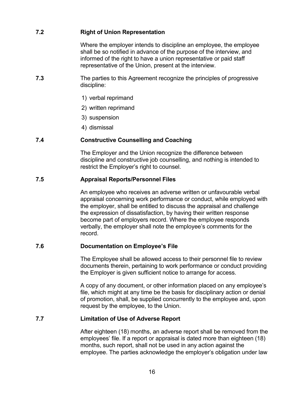### <span id="page-18-0"></span>**7.2 Right of Union Representation**

Where the employer intends to discipline an employee, the employee shall be so notified in advance of the purpose of the interview, and informed of the right to have a union representative or paid staff representative of the Union, present at the interview.

- **7.3** The parties to this Agreement recognize the principles of progressive discipline:
	- 1) verbal reprimand
	- 2) written reprimand
	- 3) suspension
	- 4) dismissal

#### <span id="page-18-1"></span>**7.4 Constructive Counselling and Coaching**

The Employer and the Union recognize the difference between discipline and constructive job counselling, and nothing is intended to restrict the Employer's right to counsel.

#### <span id="page-18-2"></span>**7.5 Appraisal Reports/Personnel Files**

An employee who receives an adverse written or unfavourable verbal appraisal concerning work performance or conduct, while employed with the employer, shall be entitled to discuss the appraisal and challenge the expression of dissatisfaction, by having their written response become part of employers record. Where the employee responds verbally, the employer shall note the employee's comments for the record.

#### <span id="page-18-3"></span>**7.6 Documentation on Employee's File**

The Employee shall be allowed access to their personnel file to review documents therein, pertaining to work performance or conduct providing the Employer is given sufficient notice to arrange for access.

A copy of any document, or other information placed on any employee's file, which might at any time be the basis for disciplinary action or denial of promotion, shall, be supplied concurrently to the employee and, upon request by the employee, to the Union.

#### <span id="page-18-4"></span>**7.7 Limitation of Use of Adverse Report**

After eighteen (18) months, an adverse report shall be removed from the employees' file. If a report or appraisal is dated more than eighteen (18) months, such report, shall not be used in any action against the employee. The parties acknowledge the employer's obligation under law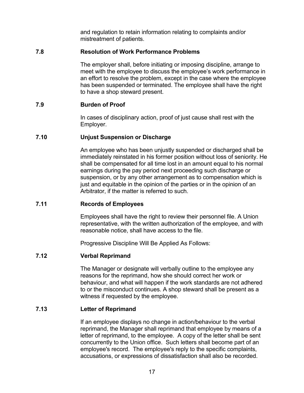and regulation to retain information relating to complaints and/or mistreatment of patients.

#### <span id="page-19-0"></span>**7.8 Resolution of Work Performance Problems**

The employer shall, before initiating or imposing discipline, arrange to meet with the employee to discuss the employee's work performance in an effort to resolve the problem, except in the case where the employee has been suspended or terminated. The employee shall have the right to have a shop steward present.

#### <span id="page-19-1"></span>**7.9 Burden of Proof**

In cases of disciplinary action, proof of just cause shall rest with the Employer.

#### <span id="page-19-2"></span>**7.10 Unjust Suspension or Discharge**

An employee who has been unjustly suspended or discharged shall be immediately reinstated in his former position without loss of seniority. He shall be compensated for all time lost in an amount equal to his normal earnings during the pay period next proceeding such discharge or suspension, or by any other arrangement as to compensation which is just and equitable in the opinion of the parties or in the opinion of an Arbitrator, if the matter is referred to such.

#### <span id="page-19-3"></span>**7.11 Records of Employees**

Employees shall have the right to review their personnel file. A Union representative, with the written authorization of the employee, and with reasonable notice, shall have access to the file.

Progressive Discipline Will Be Applied As Follows:

#### <span id="page-19-4"></span>**7.12 Verbal Reprimand**

The Manager or designate will verbally outline to the employee any reasons for the reprimand, how she should correct her work or behaviour, and what will happen if the work standards are not adhered to or the misconduct continues. A shop steward shall be present as a witness if requested by the employee.

#### <span id="page-19-5"></span>**7.13 Letter of Reprimand**

If an employee displays no change in action/behaviour to the verbal reprimand, the Manager shall reprimand that employee by means of a letter of reprimand, to the employee. A copy of the letter shall be sent concurrently to the Union office. Such letters shall become part of an employee's record. The employee's reply to the specific complaints, accusations, or expressions of dissatisfaction shall also be recorded.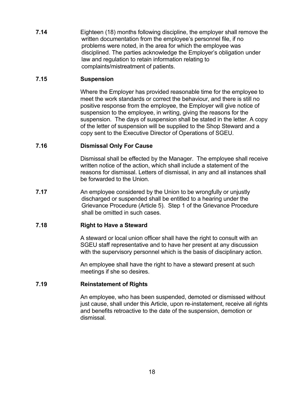**7.14** Eighteen (18) months following discipline, the employer shall remove the written documentation from the employee's personnel file, if no problems were noted, in the area for which the employee was disciplined. The parties acknowledge the Employer's obligation under law and regulation to retain information relating to complaints/mistreatment of patients.

#### <span id="page-20-0"></span>**7.15 Suspension**

Where the Employer has provided reasonable time for the employee to meet the work standards or correct the behaviour, and there is still no positive response from the employee, the Employer will give notice of suspension to the employee, in writing, giving the reasons for the suspension. The days of suspension shall be stated in the letter. A copy of the letter of suspension will be supplied to the Shop Steward and a copy sent to the Executive Director of Operations of SGEU.

#### <span id="page-20-1"></span>**7.16 Dismissal Only For Cause**

Dismissal shall be effected by the Manager. The employee shall receive written notice of the action, which shall include a statement of the reasons for dismissal. Letters of dismissal, in any and all instances shall be forwarded to the Union.

**7.17** An employee considered by the Union to be wrongfully or unjustly discharged or suspended shall be entitled to a hearing under the Grievance Procedure (Article 5). Step 1 of the Grievance Procedure shall be omitted in such cases.

### <span id="page-20-2"></span>**7.18 Right to Have a Steward**

A steward or local union officer shall have the right to consult with an SGEU staff representative and to have her present at any discussion with the supervisory personnel which is the basis of disciplinary action.

An employee shall have the right to have a steward present at such meetings if she so desires.

#### <span id="page-20-3"></span>**7.19 Reinstatement of Rights**

An employee, who has been suspended, demoted or dismissed without just cause, shall under this Article, upon re-instatement, receive all rights and benefits retroactive to the date of the suspension, demotion or dismissal.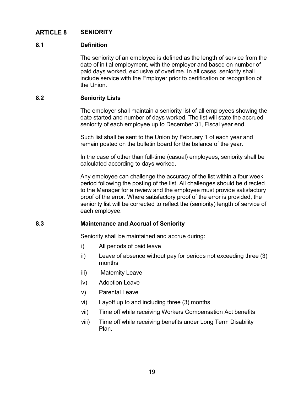#### <span id="page-21-0"></span>**ARTICLE 8 SENIORITY**

#### <span id="page-21-1"></span>**8.1 Definition**

The seniority of an employee is defined as the length of service from the date of initial employment, with the employer and based on number of paid days worked, exclusive of overtime. In all cases, seniority shall include service with the Employer prior to certification or recognition of the Union.

#### <span id="page-21-2"></span>**8.2 Seniority Lists**

The employer shall maintain a seniority list of all employees showing the date started and number of days worked. The list will state the accrued seniority of each employee up to December 31, Fiscal year end.

Such list shall be sent to the Union by February 1 of each year and remain posted on the bulletin board for the balance of the year.

In the case of other than full-time (casual) employees, seniority shall be calculated according to days worked.

Any employee can challenge the accuracy of the list within a four week period following the posting of the list. All challenges should be directed to the Manager for a review and the employee must provide satisfactory proof of the error. Where satisfactory proof of the error is provided, the seniority list will be corrected to reflect the (seniority) length of service of each employee.

#### <span id="page-21-3"></span>**8.3 Maintenance and Accrual of Seniority**

Seniority shall be maintained and accrue during:

- i) All periods of paid leave
- ii) Leave of absence without pay for periods not exceeding three (3) months
- iii) Maternity Leave
- iv) Adoption Leave
- v) Parental Leave
- vi) Layoff up to and including three (3) months
- vii) Time off while receiving Workers Compensation Act benefits
- viii) Time off while receiving benefits under Long Term Disability Plan.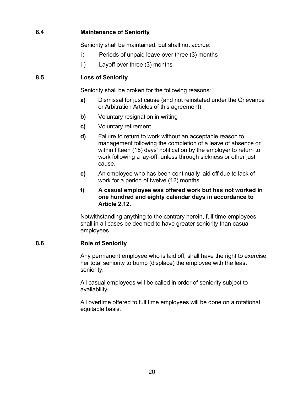### <span id="page-22-0"></span>**8.4 Maintenance of Seniority**

Seniority shall be maintained, but shall not accrue:

- i) Periods of unpaid leave over three (3) months
- ii) Layoff over three (3) months

### <span id="page-22-1"></span>**8.5 Loss of Seniority**

Seniority shall be broken for the following reasons:

- **a)** Dismissal for just cause (and not reinstated under the Grievance or Arbitration Articles of this agreement)
- **b)** Voluntary resignation in writing
- **c)** Voluntary retirement.
- **d)** Failure to return to work without an acceptable reason to management following the completion of a leave of absence or within fifteen (15) days' notification by the employer to return to work following a lay-off, unless through sickness or other just cause.
- **e)** An employee who has been continually laid off due to lack of work for a period of twelve (12) months.

#### **f) A casual employee was offered work but has not worked in one hundred and eighty calendar days in accordance to Article 2.12.**

Notwithstanding anything to the contrary herein, full-time employees shall in all cases be deemed to have greater seniority than casual employees.

### <span id="page-22-2"></span>**8.6 Role of Seniority**

Any permanent employee who is laid off, shall have the right to exercise her total seniority to bump (displace) the employee with the least seniority.

All casual employees will be called in order of seniority subject to availability**.**

All overtime offered to full time employees will be done on a rotational equitable basis.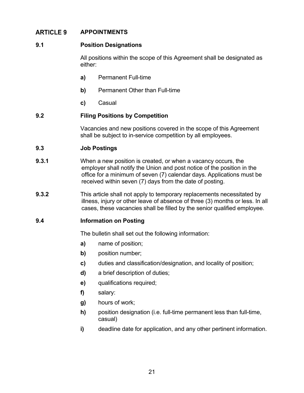#### <span id="page-23-0"></span>**APPOINTMENTS ARTICLE 9**

#### <span id="page-23-1"></span>**9.1 Position Designations**

All positions within the scope of this Agreement shall be designated as either:

- **a)** Permanent Full-time
- **b)** Permanent Other than Full-time
- **c)** Casual

#### <span id="page-23-2"></span>**9.2 Filing Positions by Competition**

Vacancies and new positions covered in the scope of this Agreement shall be subject to in-service competition by all employees.

#### <span id="page-23-3"></span>**9.3 Job Postings**

- **9.3.1** When a new position is created, or when a vacancy occurs, the employer shall notify the Union and post notice of the position in the office for a minimum of seven (7) calendar days. Applications must be received within seven (7) days from the date of posting.
- **9.3.2** This article shall not apply to temporary replacements necessitated by illness, injury or other leave of absence of three (3) months or less. In all cases, these vacancies shall be filled by the senior qualified employee.

#### <span id="page-23-4"></span>**9.4 Information on Posting**

The bulletin shall set out the following information:

- **a)** name of position;
- **b)** position number;
- **c)** duties and classification/designation, and locality of position;
- **d)** a brief description of duties;
- **e)** qualifications required;
- **f)** salary:
- **g)** hours of work;
- **h)** position designation (i.e. full-time permanent less than full-time, casual)
- **i)** deadline date for application, and any other pertinent information.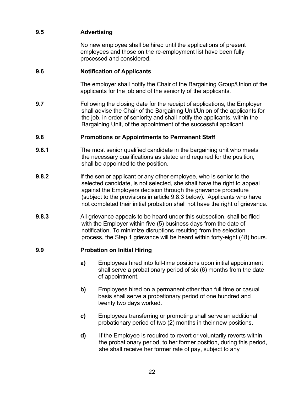### <span id="page-24-0"></span>**9.5 Advertising**

No new employee shall be hired until the applications of present employees and those on the re-employment list have been fully processed and considered.

#### <span id="page-24-1"></span>**9.6 Notification of Applicants**

The employer shall notify the Chair of the Bargaining Group/Union of the applicants for the job and of the seniority of the applicants.

**9.7** Following the closing date for the receipt of applications, the Employer shall advise the Chair of the Bargaining Unit/Union of the applicants for the job, in order of seniority and shall notify the applicants, within the Bargaining Unit, of the appointment of the successful applicant.

### <span id="page-24-2"></span>**9.8 Promotions or Appointments to Permanent Staff**

- **9.8.1** The most senior qualified candidate in the bargaining unit who meets the necessary qualifications as stated and required for the position, shall be appointed to the position.
- **9.8.2** If the senior applicant or any other employee, who is senior to the selected candidate, is not selected, she shall have the right to appeal against the Employers decision through the grievance procedure (subject to the provisions in article 9.8.3 below). Applicants who have not completed their initial probation shall not have the right of grievance.
- **9.8.3** All grievance appeals to be heard under this subsection, shall be filed with the Employer within five (5) business days from the date of notification. To minimize disruptions resulting from the selection process, the Step 1 grievance will be heard within forty-eight (48) hours.

#### <span id="page-24-3"></span>**9.9 Probation on Initial Hiring**

- **a)** Employees hired into full-time positions upon initial appointment shall serve a probationary period of six (6) months from the date of appointment.
- **b)** Employees hired on a permanent other than full time or casual basis shall serve a probationary period of one hundred and twenty two days worked.
- **c)** Employees transferring or promoting shall serve an additional probationary period of two (2) months in their new positions.
- **d)** If the Employee is required to revert or voluntarily reverts within the probationary period, to her former position, during this period, she shall receive her former rate of pay, subject to any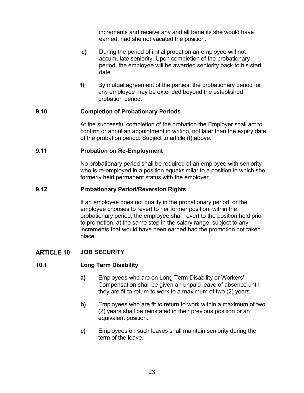increments and receive any and all benefits she would have earned, had she not vacated the position.

- **e)** During the period of initial probation an employee will not accumulate seniority. Upon completion of the probationary period, the employee will be awarded seniority back to his start date
- **f)** By mutual agreement of the parties, the probationary period for any employee may be extended beyond the established probation period.

#### <span id="page-25-0"></span>**9.10 Completion of Probationary Periods**

At the successful completion of the probation the Employer shall act to confirm or annul an appointment in writing, not later than the expiry date of the probation period. Subject to article (f) above.

#### <span id="page-25-1"></span>**9.11 Probation on Re-Employment**

No probationary period shall be required of an employee with seniority who is re-employed in a position equal/similar to a position in which she formerly held permanent status with the employer.

#### <span id="page-25-2"></span>**9.12 Probationary Period/Reversion Rights**

If an employee does not qualify in the probationary period, or the employee chooses to revert to her former position, within the probationary period, the employee shall revert to the position held prior to promotion, at the same step in the salary range, subject to any increments that would have been earned had the promotion not taken place.

#### <span id="page-25-4"></span><span id="page-25-3"></span>**ARTICLE 10 JOB SECURITY**

#### **10.1 Long Term Disability**

- **a)** Employees who are on Long Term Disability or Workers' Compensation shall be given an unpaid leave of absence until they are fit to return to work to a maximum of two (2) years.
- **b)** Employees who are fit to return to work within a maximum of two (2) years shall be reinstated in their previous position or an equivalent position.
- **c)** Employees on such leaves shall maintain seniority during the term of the leave.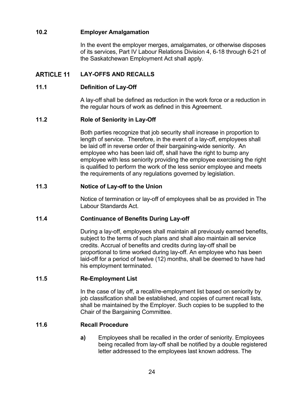### <span id="page-26-0"></span>**10.2 Employer Amalgamation**

In the event the employer merges, amalgamates, or otherwise disposes of its services, Part IV Labour Relations Division 4, 6-18 through 6-21 of the Saskatchewan Employment Act shall apply.

#### <span id="page-26-1"></span>**ARTICLE 11 LAY-OFFS AND RECALLS**

#### <span id="page-26-2"></span>**11.1 Definition of Lay-Off**

A lay-off shall be defined as reduction in the work force or a reduction in the regular hours of work as defined in this Agreement.

#### <span id="page-26-3"></span>**11.2 Role of Seniority in Lay-Off**

Both parties recognize that job security shall increase in proportion to length of service. Therefore, in the event of a lay-off, employees shall be laid off in reverse order of their bargaining-wide seniority. An employee who has been laid off, shall have the right to bump any employee with less seniority providing the employee exercising the right is qualified to perform the work of the less senior employee and meets the requirements of any regulations governed by legislation.

#### <span id="page-26-4"></span>**11.3 Notice of Lay-off to the Union**

Notice of termination or lay-off of employees shall be as provided in The Labour Standards Act.

#### <span id="page-26-5"></span>**11.4 Continuance of Benefits During Lay-off**

During a lay-off, employees shall maintain all previously earned benefits, subject to the terms of such plans and shall also maintain all service credits. Accrual of benefits and credits during lay-off shall be proportional to time worked during lay-off. An employee who has been laid-off for a period of twelve (12) months, shall be deemed to have had his employment terminated.

#### <span id="page-26-6"></span>**11.5 Re-Employment List**

In the case of lay off, a recall/re-employment list based on seniority by job classification shall be established, and copies of current recall lists, shall be maintained by the Employer. Such copies to be supplied to the Chair of the Bargaining Committee.

#### <span id="page-26-7"></span>**11.6 Recall Procedure**

**a)** Employees shall be recalled in the order of seniority. Employees being recalled from lay-off shall be notified by a double registered letter addressed to the employees last known address. The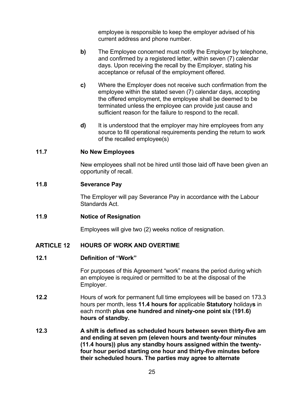employee is responsible to keep the employer advised of his current address and phone number.

- **b)** The Employee concerned must notify the Employer by telephone, and confirmed by a registered letter, within seven (7) calendar days. Upon receiving the recall by the Employer, stating his acceptance or refusal of the employment offered.
- **c)** Where the Employer does not receive such confirmation from the employee within the stated seven (7) calendar days, accepting the offered employment, the employee shall be deemed to be terminated unless the employee can provide just cause and sufficient reason for the failure to respond to the recall.
- **d)** It is understood that the employer may hire employees from any source to fill operational requirements pending the return to work of the recalled employee(s)

#### <span id="page-27-0"></span>**11.7 No New Employees**

New employees shall not be hired until those laid off have been given an opportunity of recall.

#### <span id="page-27-1"></span>**11.8 Severance Pay**

The Employer will pay Severance Pay in accordance with the Labour Standards Act.

#### <span id="page-27-2"></span>**11.9 Notice of Resignation**

Employees will give two (2) weeks notice of resignation.

#### <span id="page-27-3"></span>**ARTICLE 12 HOURS OF WORK AND OVERTIME**

#### <span id="page-27-4"></span>**12.1 Definition of "Work"**

For purposes of this Agreement "work" means the period during which an employee is required or permitted to be at the disposal of the Employer.

- **12.2** Hours of work for permanent full time employees will be based on 173.3 hours per month, less **11.4 hours for** applicable **Statutory** holiday**s** in each month **plus one hundred and ninety-one point six (191.6) hours of standby.**
- <span id="page-27-5"></span>**12.3 A shift is defined as scheduled hours between seven thirty-five am and ending at seven pm (eleven hours and twenty-four minutes (11.4 hours)) plus any standby hours assigned within the twentyfour hour period starting one hour and thirty-five minutes before their scheduled hours. The parties may agree to alternate**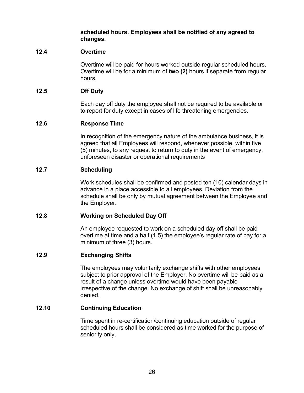**scheduled hours. Employees shall be notified of any agreed to changes.**

#### <span id="page-28-0"></span>**12.4 Overtime**

Overtime will be paid for hours worked outside regular scheduled hours. Overtime will be for a minimum of **two (2)** hours if separate from regular hours.

#### <span id="page-28-1"></span>**12.5 Off Duty**

Each day off duty the employee shall not be required to be available or to report for duty except in cases of life threatening emergencies**.**

#### <span id="page-28-2"></span>**12.6 Response Time**

In recognition of the emergency nature of the ambulance business, it is agreed that all Employees will respond, whenever possible, within five (5) minutes, to any request to return to duty in the event of emergency, unforeseen disaster or operational requirements

#### <span id="page-28-3"></span>**12.7 Scheduling**

Work schedules shall be confirmed and posted ten (10) calendar days in advance in a place accessible to all employees. Deviation from the schedule shall be only by mutual agreement between the Employee and the Employer.

#### <span id="page-28-4"></span>**12.8 Working on Scheduled Day Off**

An employee requested to work on a scheduled day off shall be paid overtime at time and a half (1.5) the employee's regular rate of pay for a minimum of three (3) hours.

#### <span id="page-28-5"></span>**12.9 Exchanging Shifts**

The employees may voluntarily exchange shifts with other employees subject to prior approval of the Employer. No overtime will be paid as a result of a change unless overtime would have been payable irrespective of the change. No exchange of shift shall be unreasonably denied.

#### <span id="page-28-6"></span>**12.10 Continuing Education**

Time spent in re-certification/continuing education outside of regular scheduled hours shall be considered as time worked for the purpose of seniority only.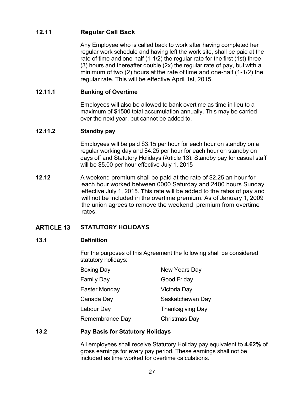### <span id="page-29-0"></span>**12.11 Regular Call Back**

Any Employee who is called back to work after having completed her regular work schedule and having left the work site, shall be paid at the rate of time and one-half (1-1/2) the regular rate for the first (1st) three (3) hours and thereafter double (2x) the regular rate of pay, but with a minimum of two (2) hours at the rate of time and one-half (1-1/2) the regular rate. This will be effective April 1st, 2015.

#### **12.11.1 Banking of Overtime**

Employees will also be allowed to bank overtime as time in lieu to a maximum of \$1500 total accumulation annually. This may be carried over the next year, but cannot be added to.

### **12.11.2 Standby pay**

Employees will be paid \$3.15 per hour for each hour on standby on a regular working day and \$4.25 per hour for each hour on standby on days off and Statutory Holidays (Article 13). Standby pay for casual staff will be \$5.00 per hour effective July 1, 2015

**12.12** A weekend premium shall be paid at the rate of \$2.25 an hour for each hour worked between 0000 Saturday and 2400 hours Sunday effective July 1, 2015. **T**his rate will be added to the rates of pay and will not be included in the overtime premium. As of January 1, 2009 the union agrees to remove the weekend premium from overtime rates.

#### <span id="page-29-1"></span>**ARTICLE 13 STATUTORY HOLIDAYS**

#### <span id="page-29-2"></span>**13.1 Definition**

For the purposes of this Agreement the following shall be considered statutory holidays:

| <b>Boxing Day</b> | New Years Day           |  |  |
|-------------------|-------------------------|--|--|
| <b>Family Day</b> | Good Friday             |  |  |
| Easter Monday     | Victoria Day            |  |  |
| Canada Day        | Saskatchewan Day        |  |  |
| Labour Day        | <b>Thanksgiving Day</b> |  |  |
| Remembrance Day   | Christmas Day           |  |  |

#### <span id="page-29-3"></span>**13.2 Pay Basis for Statutory Holidays**

All employees shall receive Statutory Holiday pay equivalent to **4.62%** of gross earnings for every pay period. These earnings shall not be included as time worked for overtime calculations.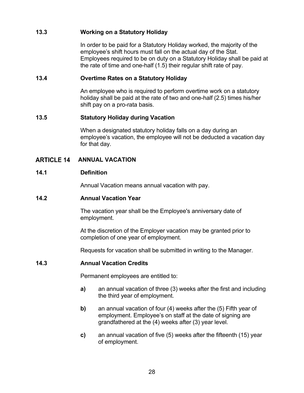#### <span id="page-30-0"></span>**13.3 Working on a Statutory Holiday**

In order to be paid for a Statutory Holiday worked, the majority of the employee's shift hours must fall on the actual day of the Stat. Employees required to be on duty on a Statutory Holiday shall be paid at the rate of time and one-half (1.5) their regular shift rate of pay.

#### <span id="page-30-1"></span>**13.4 Overtime Rates on a Statutory Holiday**

An employee who is required to perform overtime work on a statutory holiday shall be paid at the rate of two and one-half (2.5) times his/her shift pay on a pro-rata basis.

#### <span id="page-30-2"></span>**13.5 Statutory Holiday during Vacation**

When a designated statutory holiday falls on a day during an employee's vacation, the employee will not be deducted a vacation day for that day.

#### <span id="page-30-3"></span>**ARTICLE 14 ANNUAL VACATION**

#### <span id="page-30-4"></span>**14.1 Definition**

Annual Vacation means annual vacation with pay.

#### <span id="page-30-5"></span>**14.2 Annual Vacation Year**

The vacation year shall be the Employee's anniversary date of employment.

At the discretion of the Employer vacation may be granted prior to completion of one year of employment.

Requests for vacation shall be submitted in writing to the Manager.

#### <span id="page-30-6"></span>**14.3 Annual Vacation Credits**

Permanent employees are entitled to:

- **a)** an annual vacation of three (3) weeks after the first and including the third year of employment.
- **b)** an annual vacation of four (4) weeks after the (5) Fifth year of employment. Employee's on staff at the date of signing are grandfathered at the (4) weeks after (3) year level.
- **c)** an annual vacation of five (5) weeks after the fifteenth (15) year of employment.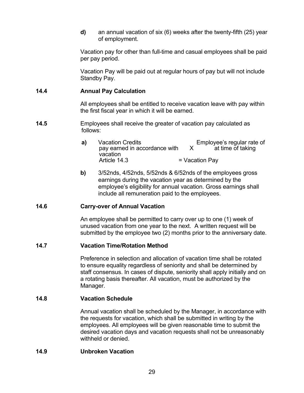**d)** an annual vacation of six (6) weeks after the twenty-fifth (25) year of employment.

Vacation pay for other than full-time and casual employees shall be paid per pay period.

Vacation Pay will be paid out at regular hours of pay but will not include Standby Pay.

#### <span id="page-31-0"></span>**14.4 Annual Pay Calculation**

All employees shall be entitled to receive vacation leave with pay within the first fiscal year in which it will be earned.

- **14.5** Employees shall receive the greater of vacation pay calculated as follows:
	- **a)** Vacation Credits<br>pay earned in accordance with X at time of taking pay earned in accordance with vacation<br>Article 14.3  $=$  Vacation Pay
	- **b)** 3/52nds, 4/52nds, 5/52nds & 6/52nds of the employees gross earnings during the vacation year as determined by the employee's eligibility for annual vacation. Gross earnings shall include all remuneration paid to the employees.

### <span id="page-31-1"></span>**14.6 Carry-over of Annual Vacation**

An employee shall be permitted to carry over up to one (1) week of unused vacation from one year to the next. A written request will be submitted by the employee two (2) months prior to the anniversary date.

#### <span id="page-31-2"></span>**14.7 Vacation Time/Rotation Method**

Preference in selection and allocation of vacation time shall be rotated to ensure equality regardless of seniority and shall be determined by staff consensus. In cases of dispute, seniority shall apply initially and on a rotating basis thereafter. All vacation, must be authorized by the Manager.

#### <span id="page-31-3"></span>**14.8 Vacation Schedule**

Annual vacation shall be scheduled by the Manager, in accordance with the requests for vacation, which shall be submitted in writing by the employees. All employees will be given reasonable time to submit the desired vacation days and vacation requests shall not be unreasonably withheld or denied.

#### <span id="page-31-4"></span>**14.9 Unbroken Vacation**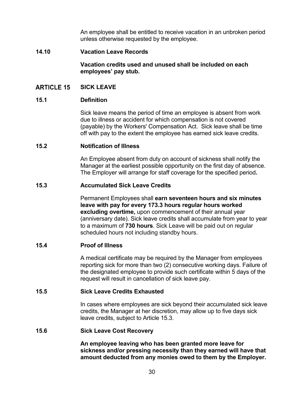An employee shall be entitled to receive vacation in an unbroken period unless otherwise requested by the employee.

#### <span id="page-32-0"></span>**14.10 Vacation Leave Records**

**Vacation credits used and unused shall be included on each employees' pay stub.** 

#### <span id="page-32-2"></span><span id="page-32-1"></span>**ARTICLE 15 SICK LEAVE**

#### **15.1 Definition**

Sick leave means the period of time an employee is absent from work due to illness or accident for which compensation is not covered (payable) by the Workers' Compensation Act. Sick leave shall be time off with pay to the extent the employee has earned sick leave credits.

#### <span id="page-32-3"></span>**15.2 Notification of Illness**

An Employee absent from duty on account of sickness shall notify the Manager at the earliest possible opportunity on the first day of absence. The Employer will arrange for staff coverage for the specified period**.**

#### <span id="page-32-4"></span>**15.3 Accumulated Sick Leave Credits**

Permanent Employees shall **earn seventeen hours and six minutes leave with pay for every 173.3 hours regular hours worked excluding overtime,** upon commencement of their annual year (anniversary date). Sick leave credits shall accumulate from year to year to a maximum of **730 hours**. Sick Leave will be paid out on regular scheduled hours not including standby hours.

#### <span id="page-32-5"></span>**15.4 Proof of Illness**

A medical certificate may be required by the Manager from employees reporting sick for more than two (2) consecutive working days. Failure of the designated employee to provide such certificate within 5 days of the request will result in cancellation of sick leave pay.

#### <span id="page-32-6"></span>**15.5 Sick Leave Credits Exhausted**

In cases where employees are sick beyond their accumulated sick leave credits, the Manager at her discretion, may allow up to five days sick leave credits, subject to Article 15.3.

#### <span id="page-32-7"></span>**15.6 Sick Leave Cost Recovery**

**An employee leaving who has been granted more leave for sickness and/or pressing necessity than they earned will have that amount deducted from any monies owed to them by the Employer.**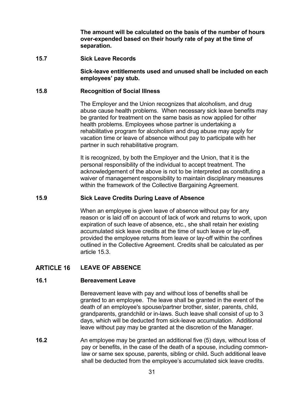**The amount will be calculated on the basis of the number of hours over-expended based on their hourly rate of pay at the time of separation.**

#### <span id="page-33-0"></span>**15.7 Sick Leave Records**

**Sick-leave entitlements used and unused shall be included on each employees' pay stub.**

#### <span id="page-33-1"></span>**15.8 Recognition of Social Illness**

The Employer and the Union recognizes that alcoholism, and drug abuse cause health problems. When necessary sick leave benefits may be granted for treatment on the same basis as now applied for other health problems. Employees whose partner is undertaking a rehabilitative program for alcoholism and drug abuse may apply for vacation time or leave of absence without pay to participate with her partner in such rehabilitative program.

It is recognized, by both the Employer and the Union, that it is the personal responsibility of the individual to accept treatment. The acknowledgement of the above is not to be interpreted as constituting a waiver of management responsibility to maintain disciplinary measures within the framework of the Collective Bargaining Agreement.

#### <span id="page-33-2"></span>**15.9 Sick Leave Credits During Leave of Absence**

When an employee is given leave of absence without pay for any reason or is laid off on account of lack of work and returns to work, upon expiration of such leave of absence, etc., she shall retain her existing accumulated sick leave credits at the time of such leave or lay-off, provided the employee returns from leave or lay-off within the confines outlined in the Collective Agreement. Credits shall be calculated as per article 15.3.

#### <span id="page-33-4"></span><span id="page-33-3"></span>**ARTICLE 16 LEAVE OF ABSENCE**

#### **16.1 Bereavement Leave**

Bereavement leave with pay and without loss of benefits shall be granted to an employee. The leave shall be granted in the event of the death of an employee's spouse/partner brother, sister, parents, child, grandparents, grandchild or in-laws. Such leave shall consist of up to 3 days, which will be deducted from sick-leave accumulation. Additional leave without pay may be granted at the discretion of the Manager.

**16.2** An employee may be granted an additional five (5) days, without loss of pay or benefits, in the case of the death of a spouse, including commonlaw or same sex spouse, parents, sibling or child**.** Such additional leave shall be deducted from the employee's accumulated sick leave credits.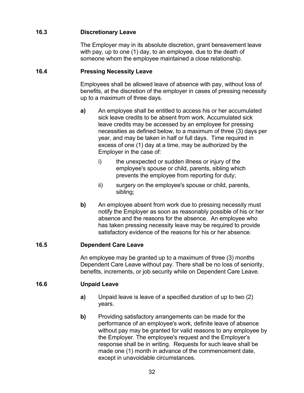### <span id="page-34-0"></span>**16.3 Discretionary Leave**

The Employer may in its absolute discretion, grant bereavement leave with pay, up to one (1) day, to an employee, due to the death of someone whom the employee maintained a close relationship.

### <span id="page-34-1"></span>**16.4 Pressing Necessity Leave**

Employees shall be allowed leave of absence with pay, without loss of benefits, at the discretion of the employer in cases of pressing necessity up to a maximum of three days.

- **a)** An employee shall be entitled to access his or her accumulated sick leave credits to be absent from work. Accumulated sick leave credits may be accessed by an employee for pressing necessities as defined below, to a maximum of three (3) days per year, and may be taken in half or full days. Time required in excess of one (1) day at a time, may be authorized by the Employer in the case of:
	- i) the unexpected or sudden illness or injury of the employee's spouse or child, parents, sibling which prevents the employee from reporting for duty;
	- ii) surgery on the employee's spouse or child, parents, sibling;
- **b)** An employee absent from work due to pressing necessity must notify the Employer as soon as reasonably possible of his or her absence and the reasons for the absence. An employee who has taken pressing necessity leave may be required to provide satisfactory evidence of the reasons for his or her absence.

### <span id="page-34-2"></span>**16.5 Dependent Care Leave**

An employee may be granted up to a maximum of three (3) months Dependent Care Leave without pay. There shall be no loss of seniority, benefits, increments, or job security while on Dependent Care Leave.

#### <span id="page-34-3"></span>**16.6 Unpaid Leave**

- **a)** Unpaid leave is leave of a specified duration of up to two (2) years.
- **b)** Providing satisfactory arrangements can be made for the performance of an employee's work, definite leave of absence without pay may be granted for valid reasons to any employee by the Employer. The employee's request and the Employer's response shall be in writing. Requests for such leave shall be made one (1) month in advance of the commencement date, except in unavoidable circumstances.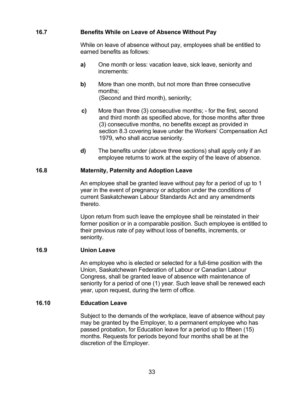#### <span id="page-35-0"></span>**16.7 Benefits While on Leave of Absence Without Pay**

While on leave of absence without pay, employees shall be entitled to earned benefits as follows:

- **a)** One month or less: vacation leave, sick leave, seniority and increments:
- **b)** More than one month, but not more than three consecutive months; (Second and third month), seniority;
- **c)** More than three (3) consecutive months; for the first, second and third month as specified above, for those months after three (3) consecutive months, no benefits except as provided in section 8.3 covering leave under the Workers' Compensation Act 1979, who shall accrue seniority.
- **d)** The benefits under (above three sections) shall apply only if an employee returns to work at the expiry of the leave of absence.

#### <span id="page-35-1"></span>**16.8 Maternity, Paternity and Adoption Leave**

An employee shall be granted leave without pay for a period of up to 1 year in the event of pregnancy or adoption under the conditions of current Saskatchewan Labour Standards Act and any amendments thereto.

Upon return from such leave the employee shall be reinstated in their former position or in a comparable position. Such employee is entitled to their previous rate of pay without loss of benefits, increments, or seniority.

#### <span id="page-35-2"></span>**16.9 Union Leave**

An employee who is elected or selected for a full-time position with the Union, Saskatchewan Federation of Labour or Canadian Labour Congress, shall be granted leave of absence with maintenance of seniority for a period of one (1) year. Such leave shall be renewed each year, upon request, during the term of office.

### <span id="page-35-3"></span>**16.10 Education Leave**

Subject to the demands of the workplace, leave of absence without pay may be granted by the Employer, to a permanent employee who has passed probation, for Education leave for a period up to fifteen (15) months. Requests for periods beyond four months shall be at the discretion of the Employer.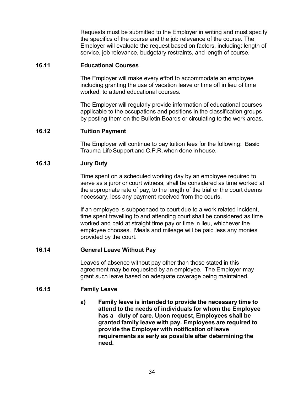Requests must be submitted to the Employer in writing and must specify the specifics of the course and the job relevance of the course. The Employer will evaluate the request based on factors, including: length of service, job relevance, budgetary restraints, and length of course.

#### <span id="page-36-0"></span>**16.11 Educational Courses**

The Employer will make every effort to accommodate an employee including granting the use of vacation leave or time off in lieu of time worked, to attend educational courses.

The Employer will regularly provide information of educational courses applicable to the occupations and positions in the classification groups by posting them on the Bulletin Boards or circulating to the work areas.

#### <span id="page-36-1"></span>**16.12 Tuition Payment**

The Employer will continue to pay tuition fees for the following: Basic Trauma LifeSupport and C.P.R.when done in house.

#### <span id="page-36-2"></span>**16.13 Jury Duty**

Time spent on a scheduled working day by an employee required to serve as a juror or court witness, shall be considered as time worked at the appropriate rate of pay, to the length of the trial or the court deems necessary, less any payment received from the courts.

If an employee is subpoenaed to court due to a work related incident, time spent travelling to and attending court shall be considered as time worked and paid at straight time pay or time in lieu, whichever the employee chooses. Meals and mileage will be paid less any monies provided by the court.

#### <span id="page-36-3"></span>**16.14 General Leave Without Pay**

Leaves of absence without pay other than those stated in this agreement may be requested by an employee. The Employer may grant such leave based on adequate coverage being maintained.

#### <span id="page-36-4"></span>**16.15 Family Leave**

**a) Family leave is intended to provide the necessary time to attend to the needs of individuals for whom the Employee has a duty of care. Upon request, Employees shall be granted family leave with pay. Employees are required to provide the Employer with notification of leave requirements as early as possible after determining the need.**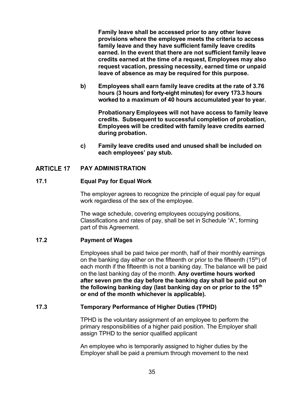**Family leave shall be accessed prior to any other leave provisions where the employee meets the criteria to access family leave and they have sufficient family leave credits earned. In the event that there are not sufficient family leave credits earned at the time of a request, Employees may also request vacation, pressing necessity, earned time or unpaid leave of absence as may be required for this purpose.**

**b) Employees shall earn family leave credits at the rate of 3.76 hours (3 hours and forty-eight minutes) for every 173.3 hours worked to a maximum of 40 hours accumulated year to year.**

**Probationary Employees will not have access to family leave credits. Subsequent to successful completion of probation, Employees will be credited with family leave credits earned during probation.**

**c) Family leave credits used and unused shall be included on each employees' pay stub.** 

#### <span id="page-37-1"></span><span id="page-37-0"></span>**PAY ADMINISTRATION ARTICLE 17**

#### **17.1 Equal Pay for Equal Work**

The employer agrees to recognize the principle of equal pay for equal work regardless of the sex of the employee.

The wage schedule, covering employees occupying positions, Classifications and rates of pay, shall be set in Schedule "A", forming part of this Agreement.

#### <span id="page-37-2"></span>**17.2 Payment of Wages**

Employees shall be paid twice per month, half of their monthly earnings on the banking day either on the fifteenth or prior to the fifteenth  $(15<sup>th</sup>)$  of each month if the fifteenth is not a banking day. The balance will be paid on the last banking day of the month. **Any overtime hours worked after seven pm the day before the banking day shall be paid out on the following banking day (last banking day on or prior to the 15th or end of the month whichever is applicable).**

#### <span id="page-37-3"></span>**17.3 Temporary Performance of Higher Duties (TPHD)**

TPHD is the voluntary assignment of an employee to perform the primary responsibilities of a higher paid position. The Employer shall assign TPHD to the senior qualified applicant

An employee who is temporarily assigned to higher duties by the Employer shall be paid a premium through movement to the next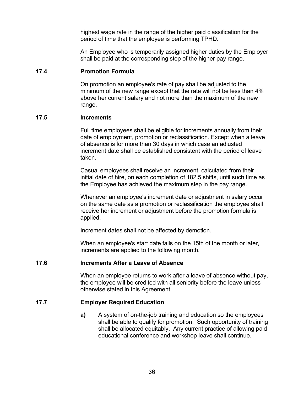highest wage rate in the range of the higher paid classification for the period of time that the employee is performing TPHD.

An Employee who is temporarily assigned higher duties by the Employer shall be paid at the corresponding step of the higher pay range.

#### <span id="page-38-0"></span>**17.4 Promotion Formula**

On promotion an employee's rate of pay shall be adjusted to the minimum of the new range except that the rate will not be less than 4% above her current salary and not more than the maximum of the new range.

#### <span id="page-38-1"></span>**17.5 Increments**

Full time employees shall be eligible for increments annually from their date of employment, promotion or reclassification. Except when a leave of absence is for more than 30 days in which case an adjusted increment date shall be established consistent with the period of leave taken.

Casual employees shall receive an increment, calculated from their initial date of hire, on each completion of 182.5 shifts, until such time as the Employee has achieved the maximum step in the pay range.

Whenever an employee's increment date or adjustment in salary occur on the same date as a promotion or reclassification the employee shall receive her increment or adjustment before the promotion formula is applied.

Increment dates shall not be affected by demotion.

When an employee's start date falls on the 15th of the month or later, increments are applied to the following month.

#### <span id="page-38-2"></span>**17.6 Increments After a Leave of Absence**

When an employee returns to work after a leave of absence without pay, the employee will be credited with all seniority before the leave unless otherwise stated in this Agreement.

#### <span id="page-38-3"></span>**17.7 Employer Required Education**

**a)** A system of on-the-job training and education so the employees shall be able to qualify for promotion. Such opportunity of training shall be allocated equitably. Any current practice of allowing paid educational conference and workshop leave shall continue.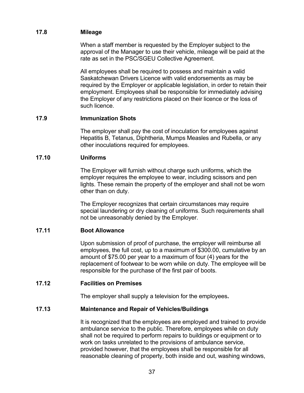#### <span id="page-39-0"></span>**17.8 Mileage**

When a staff member is requested by the Employer subject to the approval of the Manager to use their vehicle, mileage will be paid at the rate as set in the PSC/SGEU Collective Agreement.

All employees shall be required to possess and maintain a valid Saskatchewan Drivers Licence with valid endorsements as may be required by the Employer or applicable legislation, in order to retain their employment. Employees shall be responsible for immediately advising the Employer of any restrictions placed on their licence or the loss of such licence.

#### <span id="page-39-1"></span>**17.9 Immunization Shots**

The employer shall pay the cost of inoculation for employees against Hepatitis B, Tetanus, Diphtheria, Mumps Measles and Rubella, or any other inoculations required for employees.

#### <span id="page-39-2"></span>**17.10 Uniforms**

The Employer will furnish without charge such uniforms, which the employer requires the employee to wear, including scissors and pen lights. These remain the property of the employer and shall not be worn other than on duty.

The Employer recognizes that certain circumstances may require special laundering or dry cleaning of uniforms. Such requirements shall not be unreasonably denied by the Employer.

#### <span id="page-39-3"></span>**17.11 Boot Allowance**

Upon submission of proof of purchase, the employer will reimburse all employees, the full cost, up to a maximum of \$300.00, cumulative by an amount of \$75.00 per year to a maximum of four (4) years for the replacement of footwear to be worn while on duty. The employee will be responsible for the purchase of the first pair of boots.

#### <span id="page-39-4"></span>**17.12 Facilities on Premises**

The employer shall supply a television for the employees**.**

#### <span id="page-39-5"></span>**17.13 Maintenance and Repair of Vehicles/Buildings**

It is recognized that the employees are employed and trained to provide ambulance service to the public. Therefore, employees while on duty shall not be required to perform repairs to buildings or equipment or to work on tasks unrelated to the provisions of ambulance service, provided however, that the employees shall be responsible for all reasonable cleaning of property, both inside and out, washing windows,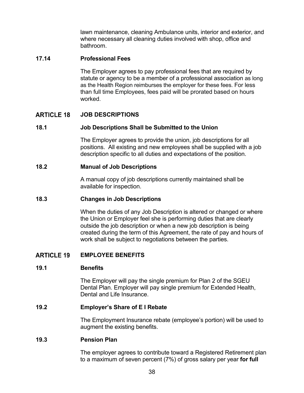lawn maintenance, cleaning Ambulance units, interior and exterior, and where necessary all cleaning duties involved with shop, office and bathroom.

#### <span id="page-40-0"></span>**17.14 Professional Fees**

The Employer agrees to pay professional fees that are required by statute or agency to be a member of a professional association as long as the Health Region reimburses the employer for these fees. For less than full time Employees, fees paid will be prorated based on hours worked.

#### <span id="page-40-1"></span>**ARTICLE 18 JOB DESCRIPTIONS**

#### <span id="page-40-2"></span>**18.1 Job Descriptions Shall be Submitted to the Union**

The Employer agrees to provide the union, job descriptions for all positions. All existing and new employees shall be supplied with a job description specific to all duties and expectations of the position.

#### <span id="page-40-3"></span>**18.2 Manual of Job Descriptions**

A manual copy of job descriptions currently maintained shall be available for inspection.

#### <span id="page-40-4"></span>**18.3 Changes in Job Descriptions**

When the duties of any Job Description is altered or changed or where the Union or Employer feel she is performing duties that are clearly outside the job description or when a new job description is being created during the term of this Agreement, the rate of pay and hours of work shall be subject to negotiations between the parties.

#### <span id="page-40-5"></span>**ARTICLE 19 EMPLOYEE BENEFITS**

#### <span id="page-40-6"></span>**19.1 Benefits**

The Employer will pay the single premium for Plan 2 of the SGEU Dental Plan. Employer will pay single premium for Extended Health, Dental and Life Insurance.

#### <span id="page-40-7"></span>**19.2 Employer's Share of E I Rebate**

The Employment Insurance rebate (employee's portion) will be used to augment the existing benefits.

#### <span id="page-40-8"></span>**19.3 Pension Plan**

The employer agrees to contribute toward a Registered Retirement plan to a maximum of seven percent (7%) of gross salary per year **for full**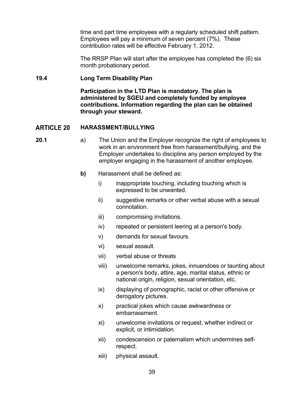time and part time employees with a regularly scheduled shift pattern. Employees will pay a minimum of seven percent (7%). These contribution rates will be effective February 1, 2012.

The RRSP Plan will start after the employee has completed the (6) six month probationary period.

#### <span id="page-41-0"></span>**19.4 Long Term Disability Plan**

**Participation in the LTD Plan is mandatory. The plan is administered by SGEU and completely funded by employee contributions. Information regarding the plan can be obtained through your steward.**

#### <span id="page-41-1"></span>**ARTICLE 20 HARASSMENT/BULLYING**

- **20.1** a) The Union and the Employer recognize the right of employees to work in an environment free from harassment/bullying, and the Employer undertakes to discipline any person employed by the employer engaging in the harassment of another employee.
	- **b)** Harassment shall be defined as:
		- i) inappropriate touching, including touching which is expressed to be unwanted.
		- ii) suggestive remarks or other verbal abuse with a sexual connotation.
		- iii) compromising invitations.
		- iv) repeated or persistent leering at a person's body.
		- v) demands for sexual favours.
		- vi) sexual assault.
		- vii) verbal abuse or threats
		- viii) unwelcome remarks, jokes, innuendoes or taunting about a person's body, attire, age, marital status, ethnic or national origin, religion, sexual orientation, etc.
		- ix) displaying of pornographic, racist or other offensive or derogatory pictures.
		- x) practical jokes which cause awkwardness or embarrassment.
		- xi) unwelcome invitations or request, whether indirect or explicit, or intimidation.
		- xii) condescension or paternalism which undermines selfrespect.
		- xiii) physical assault.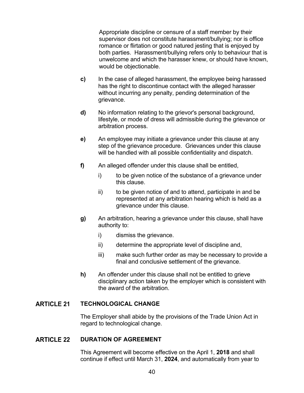Appropriate discipline or censure of a staff member by their supervisor does not constitute harassment/bullying; nor is office romance or flirtation or good natured jesting that is enjoyed by both parties. Harassment/bullying refers only to behaviour that is unwelcome and which the harasser knew, or should have known, would be objectionable.

- **c)** In the case of alleged harassment, the employee being harassed has the right to discontinue contact with the alleged harasser without incurring any penalty, pending determination of the grievance.
- **d)** No information relating to the grievor's personal background, lifestyle, or mode of dress will admissible during the grievance or arbitration process.
- **e)** An employee may initiate a grievance under this clause at any step of the grievance procedure. Grievances under this clause will be handled with all possible confidentiality and dispatch.
- **f)** An alleged offender under this clause shall be entitled,
	- i) to be given notice of the substance of a grievance under this clause.
	- ii) to be given notice of and to attend, participate in and be represented at any arbitration hearing which is held as a grievance under this clause.
- **g)** An arbitration, hearing a grievance under this clause, shall have authority to:
	- i) dismiss the grievance.
	- ii) determine the appropriate level of discipline and,
	- iii) make such further order as may be necessary to provide a final and conclusive settlement of the grievance.
- **h)** An offender under this clause shall not be entitled to grieve disciplinary action taken by the employer which is consistent with the award of the arbitration.

#### <span id="page-42-0"></span>**ARTICLE 21 TECHNOLOGICAL CHANGE**

The Employer shall abide by the provisions of the Trade Union Act in regard to technological change.

#### <span id="page-42-1"></span>**ARTICLE 22 DURATION OF AGREEMENT**

This Agreement will become effective on the April 1, **2018** and shall continue if effect until March 31, **2024**, and automatically from year to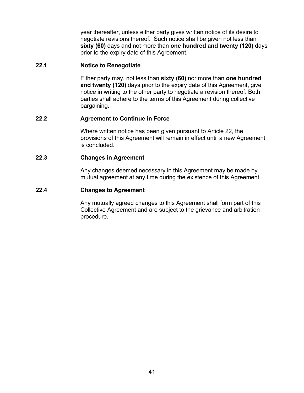year thereafter, unless either party gives written notice of its desire to negotiate revisions thereof. Such notice shall be given not less than **sixty (60)** days and not more than **one hundred and twenty (120)** days prior to the expiry date of this Agreement.

#### <span id="page-43-0"></span>**22.1 Notice to Renegotiate**

Either party may, not less than **sixty (60)** nor more than **one hundred and twenty (120)** days prior to the expiry date of this Agreement, give notice in writing to the other party to negotiate a revision thereof. Both parties shall adhere to the terms of this Agreement during collective bargaining.

#### <span id="page-43-1"></span>**22.2 Agreement to Continue in Force**

Where written notice has been given pursuant to Article 22, the provisions of this Agreement will remain in effect until a new Agreement is concluded.

#### <span id="page-43-2"></span>**22.3 Changes in Agreement**

Any changes deemed necessary in this Agreement may be made by mutual agreement at any time during the existence of this Agreement.

#### <span id="page-43-3"></span>**22.4 Changes to Agreement**

Any mutually agreed changes to this Agreement shall form part of this Collective Agreement and are subject to the grievance and arbitration procedure.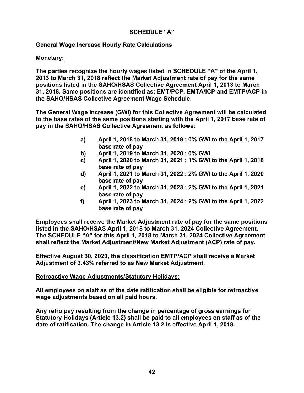#### **SCHEDULE "A"**

#### <span id="page-44-0"></span>**General Wage Increase Hourly Rate Calculations**

#### **Monetary:**

**The parties recognize the hourly wages listed in SCHEDULE "A" of the April 1, 2013 to March 31, 2018 reflect the Market Adjustment rate of pay for the same positions listed in the SAHO/HSAS Collective Agreement April 1, 2013 to March 31, 2018. Same positions are identified as: EMT/PCP, EMTA/ICP and EMTP/ACP in the SAHO/HSAS Collective Agreement Wage Schedule.** 

**The General Wage Increase (GWI) for this Collective Agreement will be calculated to the base rates of the same positions starting with the April 1, 2017 base rate of pay in the SAHO/HSAS Collective Agreement as follows:**

- **a) April 1, 2018 to March 31, 2019 : 0% GWI to the April 1, 2017 base rate of pay**
- **b) April 1, 2019 to March 31, 2020 : 0% GWI**
- **c) April 1, 2020 to March 31, 2021 : 1% GWI to the April 1, 2018 base rate of pay**
- **d) April 1, 2021 to March 31, 2022 : 2% GWI to the April 1, 2020 base rate of pay**
- **e) April 1, 2022 to March 31, 2023 : 2% GWI to the April 1, 2021 base rate of pay**
- **f) April 1, 2023 to March 31, 2024 : 2% GWI to the April 1, 2022 base rate of pay**

**Employees shall receive the Market Adjustment rate of pay for the same positions listed in the SAHO/HSAS April 1, 2018 to March 31, 2024 Collective Agreement. The SCHEDULE "A" for this April 1, 2018 to March 31, 2024 Collective Agreement shall reflect the Market Adjustment/New Market Adjustment (ACP) rate of pay.**

**Effective August 30, 2020, the classification EMTP/ACP shall receive a Market Adjustment of 3.43% referred to as New Market Adjustment.**

#### **Retroactive Wage Adjustments/Statutory Holidays:**

**All employees on staff as of the date ratification shall be eligible for retroactive wage adjustments based on all paid hours.**

**Any retro pay resulting from the change in percentage of gross earnings for Statutory Holidays (Article 13.2) shall be paid to all employees on staff as of the date of ratification. The change in Article 13.2 is effective April 1, 2018.**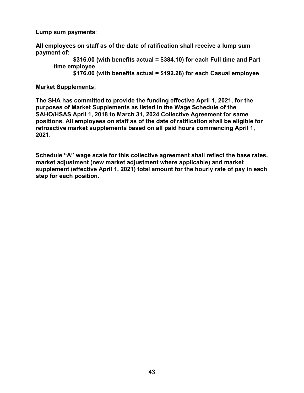#### **Lump sum payments**:

**All employees on staff as of the date of ratification shall receive a lump sum payment of:**

**\$316.00 (with benefits actual = \$384.10) for each Full time and Part time employee** 

**\$176.00 (with benefits actual = \$192.28) for each Casual employee**

#### **Market Supplements:**

**The SHA has committed to provide the funding effective April 1, 2021, for the purposes of Market Supplements as listed in the Wage Schedule of the SAHO/HSAS April 1, 2018 to March 31, 2024 Collective Agreement for same positions. All employees on staff as of the date of ratification shall be eligible for retroactive market supplements based on all paid hours commencing April 1, 2021.**

**Schedule "A" wage scale for this collective agreement shall reflect the base rates, market adjustment (new market adjustment where applicable) and market supplement (effective April 1, 2021) total amount for the hourly rate of pay in each step for each position.**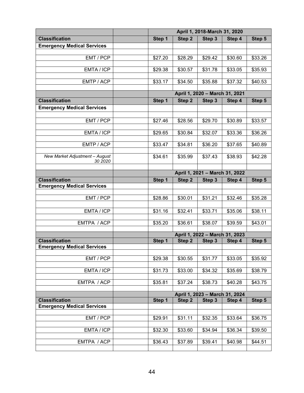|                                                            |                                | April 1, 2018-March 31, 2020   |                   |                                |         |         |
|------------------------------------------------------------|--------------------------------|--------------------------------|-------------------|--------------------------------|---------|---------|
| <b>Classification</b>                                      |                                | Step 1                         | Step <sub>2</sub> | Step 3                         | Step 4  | Step 5  |
| <b>Emergency Medical Services</b>                          |                                |                                |                   |                                |         |         |
|                                                            |                                |                                |                   |                                |         |         |
| EMT / PCP                                                  |                                | \$27.20                        | \$28.29           | \$29.42                        | \$30.60 | \$33.26 |
| EMTA / ICP                                                 |                                | \$29.38                        | \$30.57           | \$31.78                        | \$33.05 | \$35.93 |
|                                                            |                                |                                |                   |                                |         |         |
| EMTP / ACP                                                 |                                | \$33.17                        | \$34.50           | \$35.88                        | \$37.32 | \$40.53 |
|                                                            |                                |                                |                   | April 1, 2020 - March 31, 2021 |         |         |
| <b>Classification</b>                                      |                                | Step 1                         | Step 2            | Step 3                         | Step 4  | Step 5  |
| <b>Emergency Medical Services</b>                          |                                |                                |                   |                                |         |         |
|                                                            |                                |                                |                   |                                |         |         |
| EMT / PCP                                                  |                                | \$27.46                        | \$28.56           | \$29.70                        | \$30.89 | \$33.57 |
|                                                            |                                |                                |                   |                                |         |         |
| EMTA / ICP                                                 |                                | \$29.65                        | \$30.84           | \$32.07                        | \$33.36 | \$36.26 |
| EMTP / ACP                                                 |                                | \$33.47                        | \$34.81           | \$36.20                        | \$37.65 | \$40.89 |
|                                                            |                                |                                |                   |                                |         |         |
| New Market Adjustment - August                             |                                | \$34.61                        | \$35.99           | \$37.43                        | \$38.93 | \$42.28 |
| 30 2020                                                    |                                |                                |                   |                                |         |         |
|                                                            |                                | April 1, 2021 - March 31, 2022 |                   |                                |         |         |
| <b>Classification</b>                                      |                                | Step 1                         | Step 2            | Step 3                         | Step 4  | Step 5  |
| <b>Emergency Medical Services</b>                          |                                |                                |                   |                                |         |         |
|                                                            |                                |                                |                   |                                |         |         |
| EMT / PCP                                                  |                                | \$28.86                        | \$30.01           | \$31.21                        | \$32.46 | \$35.28 |
|                                                            |                                |                                |                   |                                |         |         |
| EMTA / ICP                                                 |                                | \$31.16                        | \$32.41           | \$33.71                        | \$35.06 | \$38.11 |
| EMTPA / ACP                                                |                                | \$35.20                        | \$36.61           | \$38.07                        | \$39.59 | \$43.01 |
|                                                            |                                |                                |                   |                                |         |         |
|                                                            |                                |                                |                   | April 1, 2022 - March 31, 2023 |         |         |
| <b>Classification</b><br><b>Emergency Medical Services</b> |                                | Step 1                         | Step <sub>2</sub> | Step 3                         | Step 4  | Step 5  |
|                                                            |                                |                                |                   |                                |         |         |
| EMT / PCP                                                  |                                | \$29.38                        | \$30.55           | \$31.77                        | \$33.05 | \$35.92 |
|                                                            |                                |                                |                   |                                |         |         |
| EMTA / ICP                                                 |                                | \$31.73                        | \$33.00           | \$34.32                        | \$35.69 | \$38.79 |
| EMTPA / ACP                                                |                                | \$35.81                        | \$37.24           | \$38.73                        | \$40.28 | \$43.75 |
|                                                            |                                |                                |                   |                                |         |         |
|                                                            | April 1, 2023 - March 31, 2024 |                                |                   |                                |         |         |
| <b>Classification</b>                                      |                                | Step 1                         | Step 2            | Step 3                         | Step 4  | Step 5  |
| <b>Emergency Medical Services</b>                          |                                |                                |                   |                                |         |         |
| EMT / PCP                                                  |                                | \$29.91                        | \$31.11           | \$32.35                        | \$33.64 | \$36.75 |
|                                                            |                                |                                |                   |                                |         |         |
| EMTA / ICP                                                 |                                | \$32.30                        | \$33.60           | \$34.94                        | \$36.34 | \$39.50 |
|                                                            |                                |                                |                   |                                |         |         |
| EMTPA / ACP                                                |                                | \$36.43                        | \$37.89           | \$39.41                        | \$40.98 | \$44.51 |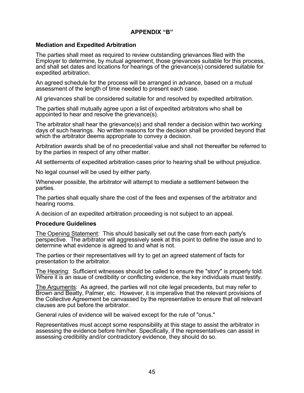#### **APPENDIX "B"**

#### <span id="page-47-0"></span>**Mediation and Expedited Arbitration**

The parties shall meet as required to review outstanding grievances filed with the Employer to determine, by mutual agreement, those grievances suitable for this process, and shall set dates and locations for hearings of the grievance(s) considered suitable for expedited arbitration.

An agreed schedule for the process will be arranged in advance, based on a mutual assessment of the length of time needed to present each case.

All grievances shall be considered suitable for and resolved by expedited arbitration.

The parties shall mutually agree upon a list of expedited arbitrators who shall be appointed to hear and resolve the grievance(s).

The arbitrator shall hear the grievance(s) and shall render a decision within two working days of such hearings. No written reasons for the decision shall be provided beyond that which the arbitrator deems appropriate to convey a decision.

Arbitration awards shall be of no precedential value and shall not thereafter be referred to by the parties in respect of any other matter.

All settlements of expedited arbitration cases prior to hearing shall be without prejudice.

No legal counsel will be used by either party.

Whenever possible, the arbitrator will attempt to mediate a settlement between the parties.

The parties shall equally share the cost of the fees and expenses of the arbitrator and hearing rooms.

A decision of an expedited arbitration proceeding is not subject to an appeal.

#### **Procedure Guidelines**

The Opening Statement: This should basically set out the case from each party's perspective. The arbitrator will aggressively seek at this point to define the issue and to determine what evidence is agreed to and what is not.

The parties or their representatives will try to get an agreed statement of facts for presentation to the arbitrator.

The Hearing: Sufficient witnesses should be called to ensure the "story" is properly told. Where it is an issue of credibility or conflicting evidence, the key individuals must testify.

The Arguments: As agreed, the parties will not cite legal precedents, but may refer to Brown and Beatty, Palmer, etc. However, it is imperative that the relevant provisions of the Collective Agreement be canvassed by the representative to ensure that all relevant clauses are put before the arbitrator.

General rules of evidence will be waived except for the rule of "onus."

Representatives must accept some responsibility at this stage to assist the arbitrator in assessing the evidence before him/her. Specifically, if the representatives can assist in assessing credibility and/or contradictory evidence, they should do so.